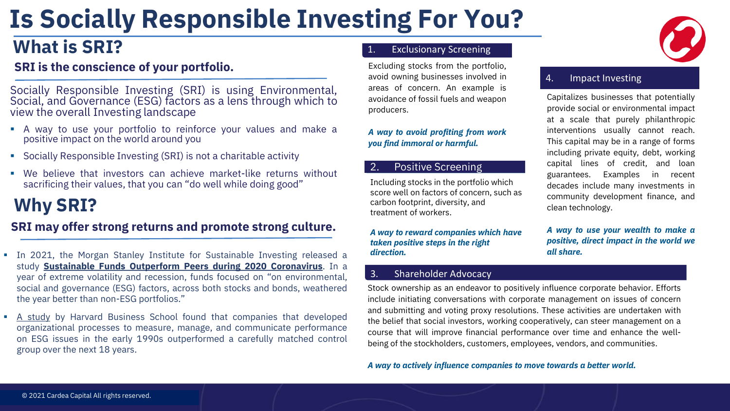# **Is Socially Responsible Investing For You?**

### **What is SRI?** 2. **1.** Exclusionary Screening

### **SRI is the conscience of your portfolio.**

Socially Responsible Investing (SRI) is using Environmental, Social, and Governance (ESG) factors as a lens through which to view the overall Investing landscape

- A way to use your portfolio to reinforce your values and make a positive impact on the world around you
- Socially Responsible Investing (SRI) is not a charitable activity
- We believe that investors can achieve market-like returns without sacrificing their values, that you can "do well while doing good"

### **Why SRI?**

#### **SRI may offer strong returns and promote strong culture.**

- **In 2021, the Morgan Stanley Institute for Sustainable Investing released a** study **Sustainable Funds Outperform Peers during 2020 [Coronavirus](https://www.morganstanley.com/ideas/esg-funds-outperform-peers-coronavirus)**. In a year of extreme volatility and recession, funds focused on "on environmental, social and governance (ESG) factors, across both stocks and bonds, weathered the year better than non-ESG portfolios."
- A [study](https://pubsonline.informs.org/doi/10.1287/mnsc.2014.1984) by Harvard Business School found that companies that developed organizational processes to measure, manage, and communicate performance on ESG issues in the early 1990s outperformed a carefully matched control group over the next 18 years.

avoidance of fossil fuels and weapon Excluding stocks from the portfolio, avoid owning businesses involved in areas of concern. An example is producers.

4. Impact Investing *A way to avoid profiting from work you find immoral or harmful.*

#### 2. Positive Screening

treatment of workers. Including stocks in the portfolio which score well on factors of concern, such as carbon footprint, diversity, and

4. Impact Investing *A way to reward companies which have taken positive steps in the right direction.*

#### 3. Shareholder Advocacy

Stock ownership as an endeavor to positively influence corporate behavior. Efforts include initiating conversations with corporate management on issues of concern and submitting and voting proxy resolutions. These activities are undertaken with the belief that social investors, working cooperatively, can steer management on a course that will improve financial performance over time and enhance the wellbeing of the stockholders, customers, employees, vendors, and communities.

*A way to actively influence companies to move towards a better world.*



#### 4. Impact Investing

Capitalizes businesses that potentially provide social or environmental impact at a scale that purely philanthropic interventions usually cannot reach. This capital may be in a range of forms including private equity, debt, working capital lines of credit, and loan guarantees. Examples in recent decades include many investments in community development finance, and clean technology.

*A way to use your wealth to make a positive, direct impact in the world we all share.*